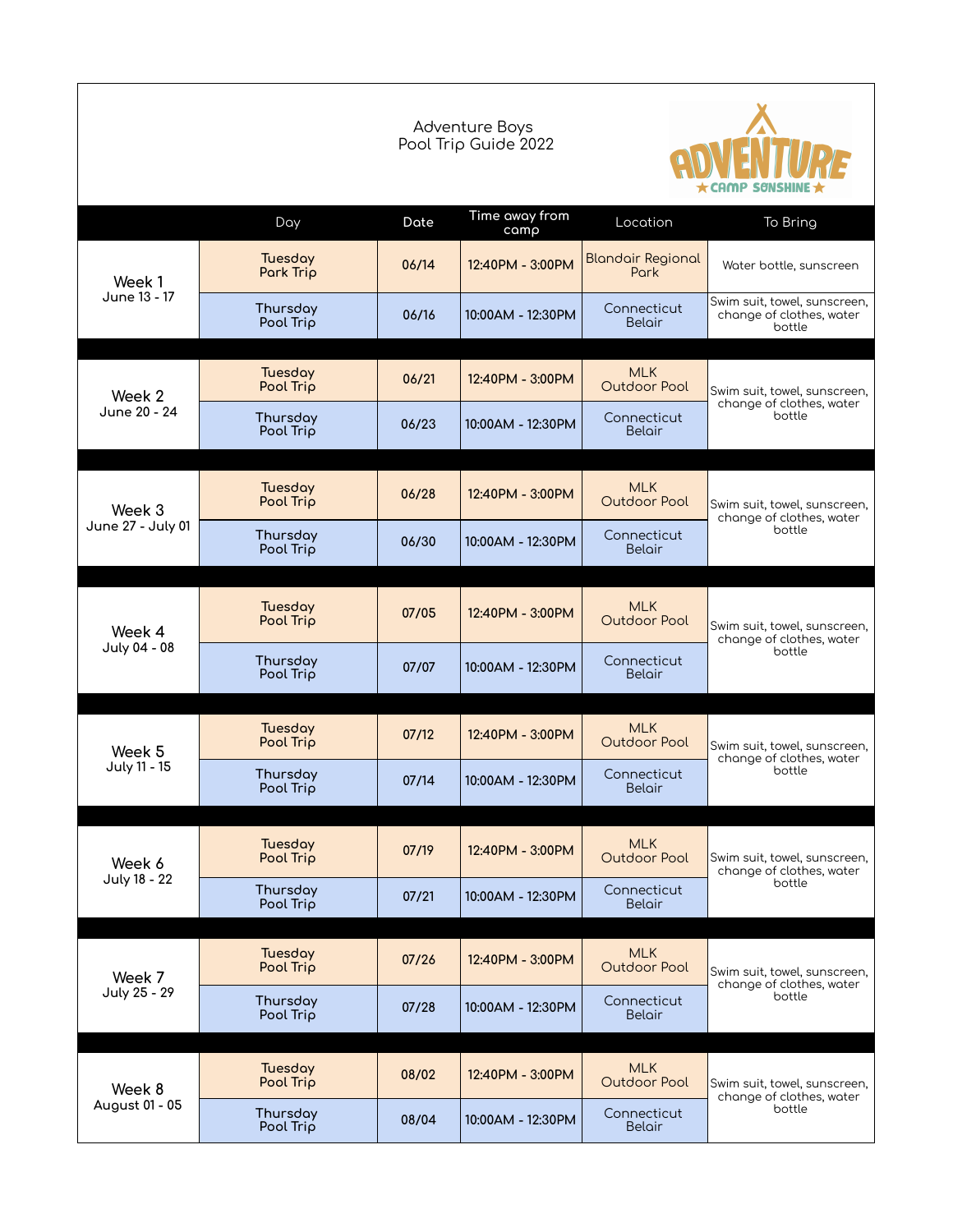